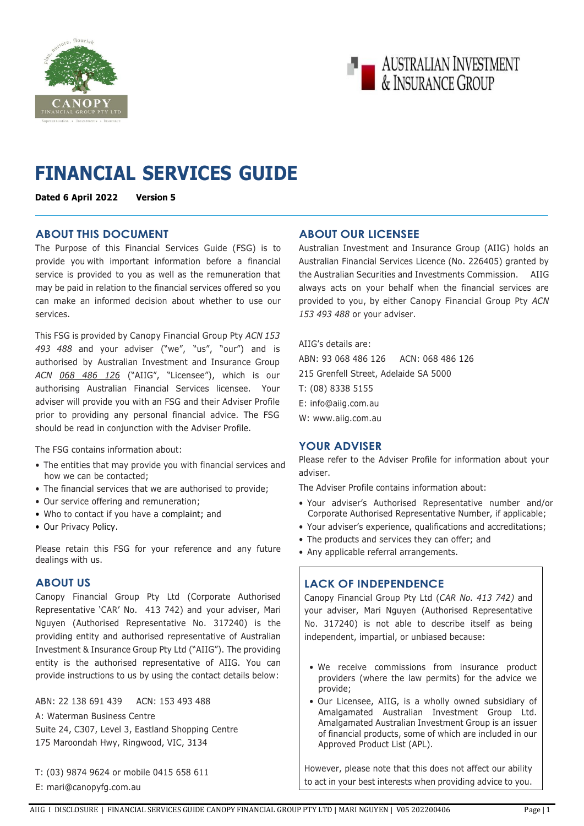



# **FINANCIAL SERVICES GUIDE**

**Dated 6 April 2022 Version 5**

## **ABOUT THIS DOCUMENT**

The Purpose of this Financial Services Guide (FSG) is to provide you with important information before a financial service is provided to you as well as the remuneration that may be paid in relation to the financial services offered so you can make an informed decision about whether to use our services.

This FSG is provided by Canopy Financial Group Pty *ACN 153 493 488* and your adviser ("we", "us", "our") and is authorised by Australian Investment and Insurance Group *ACN 068 486 126* ("AIIG", "Licensee"), which is our authorising Australian Financial Services licensee. Your adviser will provide you with an FSG and their Adviser Profile prior to providing any personal financial advice. The FSG should be read in conjunction with the Adviser Profile.

The FSG contains information about:

- The entities that may provide you with financial services and how we can be contacted;
- The financial services that we are authorised to provide;
- Our service offering and remuneration;
- Who to contact if you have a complaint; and
- Our Privacy Policy.

Please retain this FSG for your reference and any future dealings with us.

## **ABOUT US**

Canopy Financial Group Pty Ltd (Corporate Authorised Representative 'CAR' No. 413 742) and your adviser, Mari Nguyen (Authorised Representative No. 317240) is the providing entity and authorised representative of Australian Investment & Insurance Group Pty Ltd ("AIIG"). The providing entity is the authorised representative of AIIG. You can provide instructions to us by using the contact details below:

ABN: 22 138 691 439 ACN: 153 493 488 A: Waterman Business Centre Suite 24, C307, Level 3, Eastland Shopping Centre 175 Maroondah Hwy, Ringwood, VIC, 3134

T: (03) 9874 9624 or mobile 0415 658 611 E: mari@canopyfg.com.au

## **ABOUT OUR LICENSEE**

Australian Investment and Insurance Group (AIIG) holds an Australian Financial Services Licence (No. 226405) granted by the Australian Securities and Investments Commission. AIIG always acts on your behalf when the financial services are provided to you, by either Canopy Financial Group Pty *ACN 153 493 488* or your adviser.

AIIG's details are: ABN: 93 068 486 126 ACN: 068 486 126 215 Grenfell Street, Adelaide SA 5000 T: (08) 8338 5155 E: [info@aiig.com.au](mailto:info@aiig.com.au)  W: www.aiig.com.au

## **YOUR ADVISER**

Please refer to the Adviser Profile for information about your adviser.

The Adviser Profile contains information about:

- Your adviser's Authorised Representative number and/or Corporate Authorised Representative Number, if applicable;
- Your adviser's experience, qualifications and accreditations;
- The products and services they can offer; and
- Any applicable referral arrangements.

## **LACK OF INDEPENDENCE**

Canopy Financial Group Pty Ltd (*CAR No. 413 742)* and your adviser, Mari Nguyen (Authorised Representative No. 317240) is not able to describe itself as being independent, impartial, or unbiased because:

- We receive commissions from insurance product providers (where the law permits) for the advice we provide;
- Our Licensee, AIIG, is a wholly owned subsidiary of Amalgamated Australian Investment Group Ltd. Amalgamated Australian Investment Group is an issuer of financial products, some of which are included in our Approved Product List (APL).

However, please note that this does not affect our ability to act in your best interests when providing advice to you.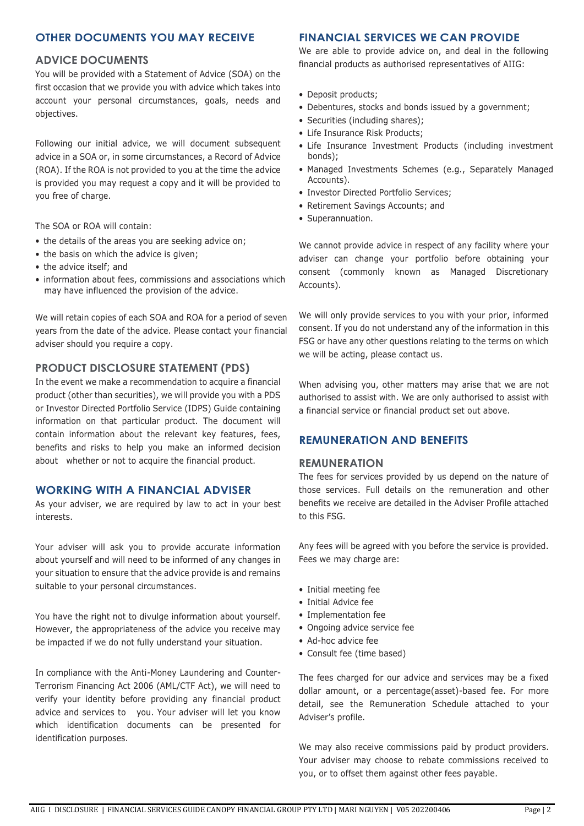## **OTHER DOCUMENTS YOU MAY RECEIVE**

### **ADVICE DOCUMENTS**

You will be provided with a Statement of Advice (SOA) on the first occasion that we provide you with advice which takes into account your personal circumstances, goals, needs and objectives.

Following our initial advice, we will document subsequent advice in a SOA or, in some circumstances, a Record of Advice (ROA). If the ROA is not provided to you at the time the advice is provided you may request a copy and it will be provided to you free of charge.

The SOA or ROA will contain:

- the details of the areas you are seeking advice on;
- the basis on which the advice is given;
- the advice itself; and
- information about fees, commissions and associations which may have influenced the provision of the advice.

We will retain copies of each SOA and ROA for a period of seven years from the date of the advice. Please contact your financial adviser should you require a copy.

### **PRODUCT DISCLOSURE STATEMENT (PDS)**

In the event we make a recommendation to acquire a financial product (other than securities), we will provide you with a PDS or Investor Directed Portfolio Service (IDPS) Guide containing information on that particular product. The document will contain information about the relevant key features, fees, benefits and risks to help you make an informed decision about whether or not to acquire the financial product.

### **WORKING WITH A FINANCIAL ADVISER**

As your adviser, we are required by law to act in your best interests.

Your adviser will ask you to provide accurate information about yourself and will need to be informed of any changes in your situation to ensure that the advice provide is and remains suitable to your personal circumstances.

You have the right not to divulge information about yourself. However, the appropriateness of the advice you receive may be impacted if we do not fully understand your situation.

In compliance with the Anti-Money Laundering and Counter-Terrorism Financing Act 2006 (AML/CTF Act), we will need to verify your identity before providing any financial product advice and services to you. Your adviser will let you know which identification documents can be presented for identification purposes.

## **FINANCIAL SERVICES WE CAN PROVIDE**

We are able to provide advice on, and deal in the following financial products as authorised representatives of AIIG:

- Deposit products;
- Debentures, stocks and bonds issued by a government;
- Securities (including shares);
- Life Insurance Risk Products;
- Life Insurance Investment Products (including investment bonds);
- Managed Investments Schemes (e.g., Separately Managed Accounts).
- Investor Directed Portfolio Services;
- Retirement Savings Accounts; and
- Superannuation.

We cannot provide advice in respect of any facility where your adviser can change your portfolio before obtaining your consent (commonly known as Managed Discretionary Accounts).

We will only provide services to you with your prior, informed consent. If you do not understand any of the information in this FSG or have any other questions relating to the terms on which we will be acting, please contact us.

When advising you, other matters may arise that we are not authorised to assist with. We are only authorised to assist with a financial service or financial product set out above.

### **REMUNERATION AND BENEFITS**

#### **REMUNERATION**

The fees for services provided by us depend on the nature of those services. Full details on the remuneration and other benefits we receive are detailed in the Adviser Profile attached to this FSG.

Any fees will be agreed with you before the service is provided. Fees we may charge are:

- Initial meeting fee
- Initial Advice fee
- Implementation fee
- Ongoing advice service fee
- Ad-hoc advice fee
- Consult fee (time based)

The fees charged for our advice and services may be a fixed dollar amount, or a percentage(asset)-based fee. For more detail, see the Remuneration Schedule attached to your Adviser's profile.

We may also receive commissions paid by product providers. Your adviser may choose to rebate commissions received to you, or to offset them against other fees payable.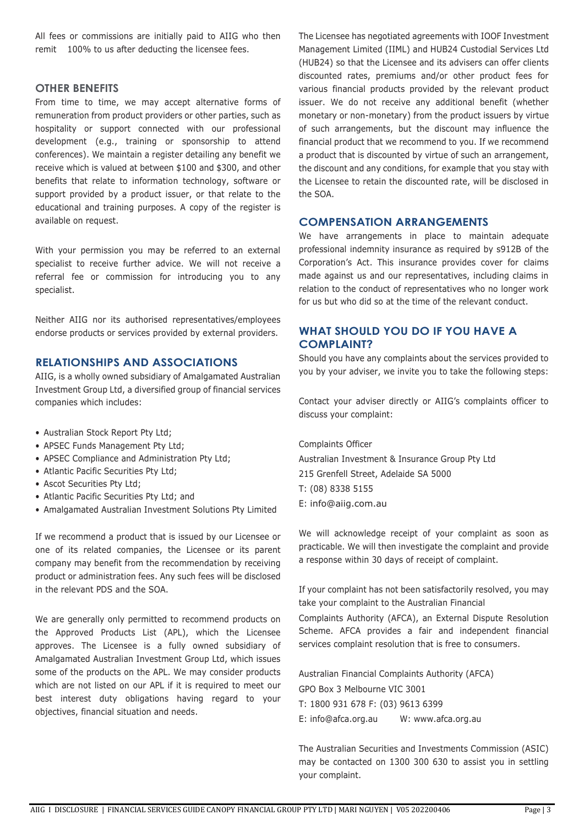All fees or commissions are initially paid to AIIG who then remit 100% to us after deducting the licensee fees.

## **OTHER BENEFITS**

From time to time, we may accept alternative forms of remuneration from product providers or other parties, such as hospitality or support connected with our professional development (e.g., training or sponsorship to attend conferences). We maintain a register detailing any benefit we receive which is valued at between \$100 and \$300, and other benefits that relate to information technology, software or support provided by a product issuer, or that relate to the educational and training purposes. A copy of the register is available on request.

With your permission you may be referred to an external specialist to receive further advice. We will not receive a referral fee or commission for introducing you to any specialist.

Neither AIIG nor its authorised representatives/employees endorse products or services provided by external providers.

## **RELATIONSHIPS AND ASSOCIATIONS**

AIIG, is a wholly owned subsidiary of Amalgamated Australian Investment Group Ltd, a diversified group of financial services companies which includes:

- Australian Stock Report Pty Ltd;
- APSEC Funds Management Pty Ltd;
- APSEC Compliance and Administration Pty Ltd;
- Atlantic Pacific Securities Pty Ltd;
- Ascot Securities Pty Ltd;
- Atlantic Pacific Securities Pty Ltd; and
- Amalgamated Australian Investment Solutions Pty Limited

If we recommend a product that is issued by our Licensee or one of its related companies, the Licensee or its parent company may benefit from the recommendation by receiving product or administration fees. Any such fees will be disclosed in the relevant PDS and the SOA.

We are generally only permitted to recommend products on the Approved Products List (APL), which the Licensee approves. The Licensee is a fully owned subsidiary of Amalgamated Australian Investment Group Ltd, which issues some of the products on the APL. We may consider products which are not listed on our APL if it is required to meet our best interest duty obligations having regard to your objectives, financial situation and needs.

The Licensee has negotiated agreements with IOOF Investment Management Limited (IIML) and HUB24 Custodial Services Ltd (HUB24) so that the Licensee and its advisers can offer clients discounted rates, premiums and/or other product fees for various financial products provided by the relevant product issuer. We do not receive any additional benefit (whether monetary or non-monetary) from the product issuers by virtue of such arrangements, but the discount may influence the financial product that we recommend to you. If we recommend a product that is discounted by virtue of such an arrangement, the discount and any conditions, for example that you stay with the Licensee to retain the discounted rate, will be disclosed in the SOA.

## **COMPENSATION ARRANGEMENTS**

We have arrangements in place to maintain adequate professional indemnity insurance as required by s912B of the Corporation's Act. This insurance provides cover for claims made against us and our representatives, including claims in relation to the conduct of representatives who no longer work for us but who did so at the time of the relevant conduct.

## **WHAT SHOULD YOU DO IF YOU HAVE A COMPLAINT?**

Should you have any complaints about the services provided to you by your adviser, we invite you to take the following steps:

Contact your adviser directly or AIIG's complaints officer to discuss your complaint:

Complaints Officer

Australian Investment & Insurance Group Pty Ltd 215 Grenfell Street, Adelaide SA 5000 T: (08) 8338 5155 E: [info@aiig.com.au](mailto:info@aiig.com.au)

We will acknowledge receipt of your complaint as soon as practicable. We will then investigate the complaint and provide a response within 30 days of receipt of complaint.

If your complaint has not been satisfactorily resolved, you may take your complaint to the Australian Financial

Complaints Authority (AFCA), an External Dispute Resolution Scheme. AFCA provides a fair and independent financial services complaint resolution that is free to consumers.

Australian Financial Complaints Authority (AFCA) GPO Box 3 Melbourne VIC 3001

T: 1800 931 678 F: (03) 9613 6399

E: [info@afca.org.au](mailto:info@afca.org.au) W: [www.afca.org.au](http://www.afca.org.au/)

The Australian Securities and Investments Commission (ASIC) may be contacted on 1300 300 630 to assist you in settling your complaint.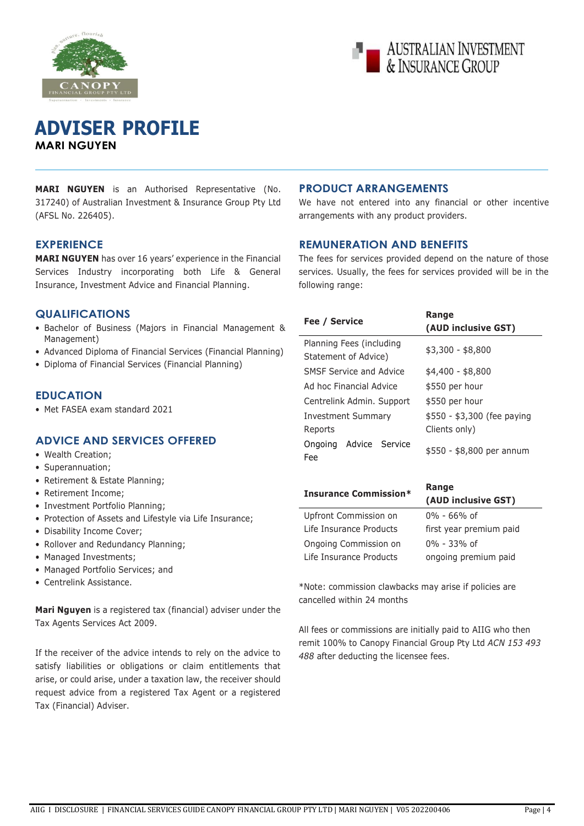



## **ADVISER PROFILE MARI NGUYEN**

**MARI NGUYEN** is an Authorised Representative (No. 317240) of Australian Investment & Insurance Group Pty Ltd (AFSL No. 226405).

## **EXPERIENCE**

**MARI NGUYEN** has over 16 years' experience in the Financial Services Industry incorporating both Life & General Insurance, Investment Advice and Financial Planning.

## **QUALIFICATIONS**

- Bachelor of Business (Majors in Financial Management & Management)
- Advanced Diploma of Financial Services (Financial Planning)
- Diploma of Financial Services (Financial Planning)

## **EDUCATION**

• Met FASEA exam standard 2021

## **ADVICE AND SERVICES OFFERED**

- Wealth Creation;
- Superannuation;
- Retirement & Estate Planning;
- Retirement Income;
- Investment Portfolio Planning;
- Protection of Assets and Lifestyle via Life Insurance;
- Disability Income Cover;
- Rollover and Redundancy Planning;
- Managed Investments;
- Managed Portfolio Services; and
- Centrelink Assistance.

**Mari Nguyen** is a registered tax (financial) adviser under the Tax Agents Services Act 2009.

If the receiver of the advice intends to rely on the advice to satisfy liabilities or obligations or claim entitlements that arise, or could arise, under a taxation law, the receiver should request advice from a registered Tax Agent or a registered Tax (Financial) Adviser.

## **PRODUCT ARRANGEMENTS**

We have not entered into any financial or other incentive arrangements with any product providers.

### **REMUNERATION AND BENEFITS**

The fees for services provided depend on the nature of those services. Usually, the fees for services provided will be in the following range:

| Fee / Service                                    | Range<br>(AUD inclusive GST)                 |
|--------------------------------------------------|----------------------------------------------|
| Planning Fees (including<br>Statement of Advice) | \$3,300 - \$8,800                            |
| SMSF Service and Advice                          | \$4,400 - \$8,800                            |
| Ad hoc Financial Advice                          | \$550 per hour                               |
| Centrelink Admin. Support                        | \$550 per hour                               |
| Investment Summary<br>Reports                    | \$550 - \$3,300 (fee paying<br>Clients only) |
| Ongoing Advice Service<br>Fee:                   | \$550 - \$8,800 per annum                    |
| <b>Insurance Commission*</b>                     | Range<br>(AUD inclusive GST)                 |
| Upfront Commission on                            | 0% - 66% of                                  |

| Upfront Commission on   | $0\%$ - 66% of          |
|-------------------------|-------------------------|
| Life Insurance Products | first year premium paid |
| Ongoing Commission on   | $0\% - 33\%$ of         |
| Life Insurance Products | ongoing premium paid    |

\*Note: commission clawbacks may arise if policies are cancelled within 24 months

All fees or commissions are initially paid to AIIG who then remit 100% to Canopy Financial Group Pty Ltd *ACN 153 493 488* after deducting the licensee fees.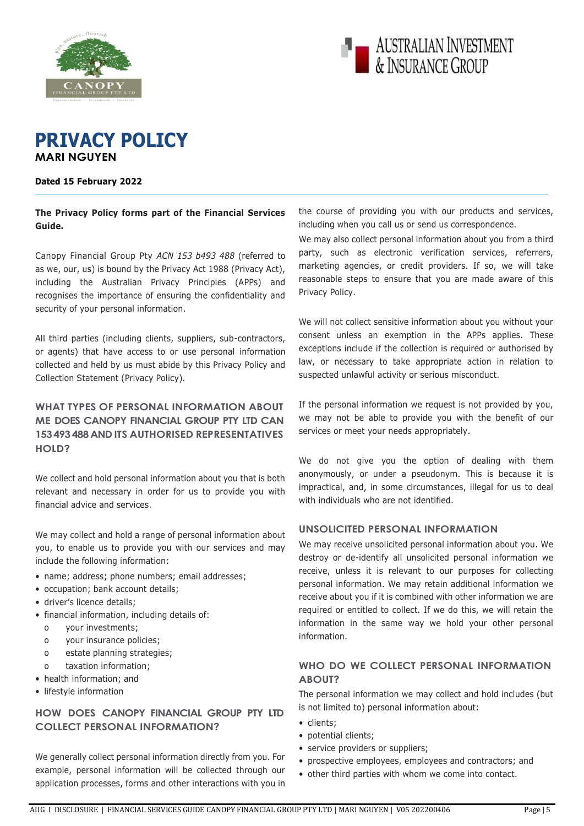



## **PRIVACY POLICY MARI NGUYEN**

### **Dated 15 February 2022**

**The Privacy Policy forms part of the Financial Services Guide.**

Canopy Financial Group Pty *ACN 153 b493 488* (referred to as we, our, us) is bound by the Privacy Act 1988 (Privacy Act), including the Australian Privacy Principles (APPs) and recognises the importance of ensuring the confidentiality and security of your personal information.

All third parties (including clients, suppliers, sub-contractors, or agents) that have access to or use personal information collected and held by us must abide by this Privacy Policy and Collection Statement (Privacy Policy).

## **WHAT TYPES OF PERSONAL INFORMATION ABOUT ME DOES CANOPY FINANCIAL GROUP PTY LTD CAN 153 493 488 AND ITS AUTHORISED REPRESENTATIVES HOLD?**

We collect and hold personal information about you that is both relevant and necessary in order for us to provide you with financial advice and services.

We may collect and hold a range of personal information about you, to enable us to provide you with our services and may include the following information:

- name; address; phone numbers; email addresses;
- occupation; bank account details;
- driver's licence details;
- financial information, including details of:
	- o your investments;
	- o your insurance policies;
	- o estate planning strategies;
	- taxation information;
- health information; and
- lifestyle information

## **HOW DOES CANOPY FINANCIAL GROUP PTY LTD COLLECT PERSONAL INFORMATION?**

We generally collect personal information directly from you. For example, personal information will be collected through our application processes, forms and other interactions with you in

the course of providing you with our products and services, including when you call us or send us correspondence.

We may also collect personal information about you from a third party, such as electronic verification services, referrers, marketing agencies, or credit providers. If so, we will take reasonable steps to ensure that you are made aware of this Privacy Policy.

We will not collect sensitive information about you without your consent unless an exemption in the APPs applies. These exceptions include if the collection is required or authorised by law, or necessary to take appropriate action in relation to suspected unlawful activity or serious misconduct.

If the personal information we request is not provided by you, we may not be able to provide you with the benefit of our services or meet your needs appropriately.

We do not give you the option of dealing with them anonymously, or under a pseudonym. This is because it is impractical, and, in some circumstances, illegal for us to deal with individuals who are not identified.

### **UNSOLICITED PERSONAL INFORMATION**

We may receive unsolicited personal information about you. We destroy or de-identify all unsolicited personal information we receive, unless it is relevant to our purposes for collecting personal information. We may retain additional information we receive about you if it is combined with other information we are required or entitled to collect. If we do this, we will retain the information in the same way we hold your other personal information.

## **WHO DO WE COLLECT PERSONAL INFORMATION ABOUT?**

The personal information we may collect and hold includes (but is not limited to) personal information about:

- clients;
- potential clients;
- service providers or suppliers;
- prospective employees, employees and contractors; and
- other third parties with whom we come into contact.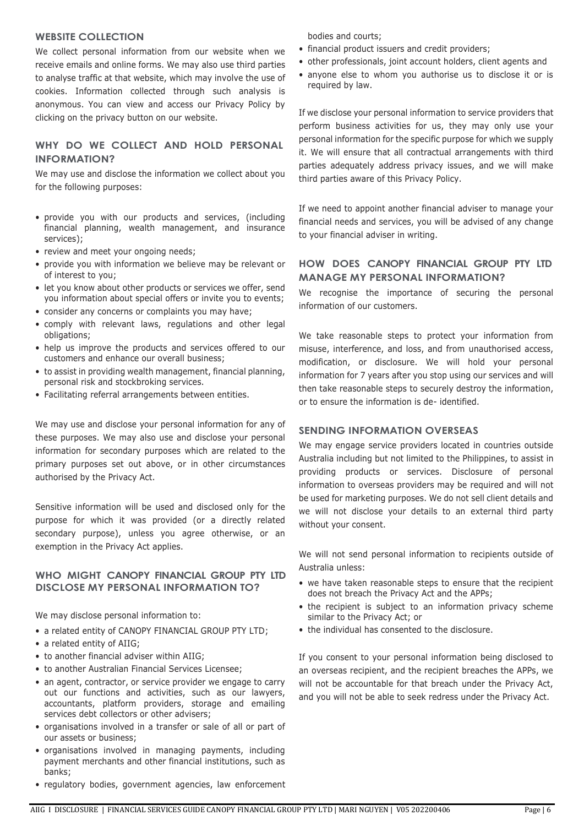### **WEBSITE COLLECTION**

We collect personal information from our website when we receive emails and online forms. We may also use third parties to analyse traffic at that website, which may involve the use of cookies. Information collected through such analysis is anonymous. You can view and access our Privacy Policy by clicking on the privacy button on our website.

## **WHY DO WE COLLECT AND HOLD PERSONAL INFORMATION?**

We may use and disclose the information we collect about you for the following purposes:

- provide you with our products and services, (including financial planning, wealth management, and insurance services);
- review and meet your ongoing needs;
- provide you with information we believe may be relevant or of interest to you;
- let you know about other products or services we offer, send you information about special offers or invite you to events;
- consider any concerns or complaints you may have;
- comply with relevant laws, regulations and other legal obligations;
- help us improve the products and services offered to our customers and enhance our overall business;
- to assist in providing wealth management, financial planning, personal risk and stockbroking services.
- Facilitating referral arrangements between entities.

We may use and disclose your personal information for any of these purposes. We may also use and disclose your personal information for secondary purposes which are related to the primary purposes set out above, or in other circumstances authorised by the Privacy Act.

Sensitive information will be used and disclosed only for the purpose for which it was provided (or a directly related secondary purpose), unless you agree otherwise, or an exemption in the Privacy Act applies.

## **WHO MIGHT CANOPY FINANCIAL GROUP PTY LTD DISCLOSE MY PERSONAL INFORMATION TO?**

We may disclose personal information to:

- a related entity of CANOPY FINANCIAL GROUP PTY LTD;
- a related entity of AIIG;
- to another financial adviser within AIIG;
- to another Australian Financial Services Licensee;
- an agent, contractor, or service provider we engage to carry out our functions and activities, such as our lawyers, accountants, platform providers, storage and emailing services debt collectors or other advisers;
- organisations involved in a transfer or sale of all or part of our assets or business;
- organisations involved in managing payments, including payment merchants and other financial institutions, such as banks;
- regulatory bodies, government agencies, law enforcement

bodies and courts;

- financial product issuers and credit providers;
- other professionals, joint account holders, client agents and
- anyone else to whom you authorise us to disclose it or is required by law.

If we disclose your personal information to service providers that perform business activities for us, they may only use your personal information for the specific purpose for which we supply it. We will ensure that all contractual arrangements with third parties adequately address privacy issues, and we will make third parties aware of this Privacy Policy.

If we need to appoint another financial adviser to manage your financial needs and services, you will be advised of any change to your financial adviser in writing.

## **HOW DOES CANOPY FINANCIAL GROUP PTY LTD MANAGE MY PERSONAL INFORMATION?**

We recognise the importance of securing the personal information of our customers.

We take reasonable steps to protect your information from misuse, interference, and loss, and from unauthorised access, modification, or disclosure. We will hold your personal information for 7 years after you stop using our services and will then take reasonable steps to securely destroy the information, or to ensure the information is de- identified.

## **SENDING INFORMATION OVERSEAS**

We may engage service providers located in countries outside Australia including but not limited to the Philippines, to assist in providing products or services. Disclosure of personal information to overseas providers may be required and will not be used for marketing purposes. We do not sell client details and we will not disclose your details to an external third party without your consent.

We will not send personal information to recipients outside of Australia unless:

- we have taken reasonable steps to ensure that the recipient does not breach the Privacy Act and the APPs;
- the recipient is subject to an information privacy scheme similar to the Privacy Act; or
- the individual has consented to the disclosure.

If you consent to your personal information being disclosed to an overseas recipient, and the recipient breaches the APPs, we will not be accountable for that breach under the Privacy Act, and you will not be able to seek redress under the Privacy Act.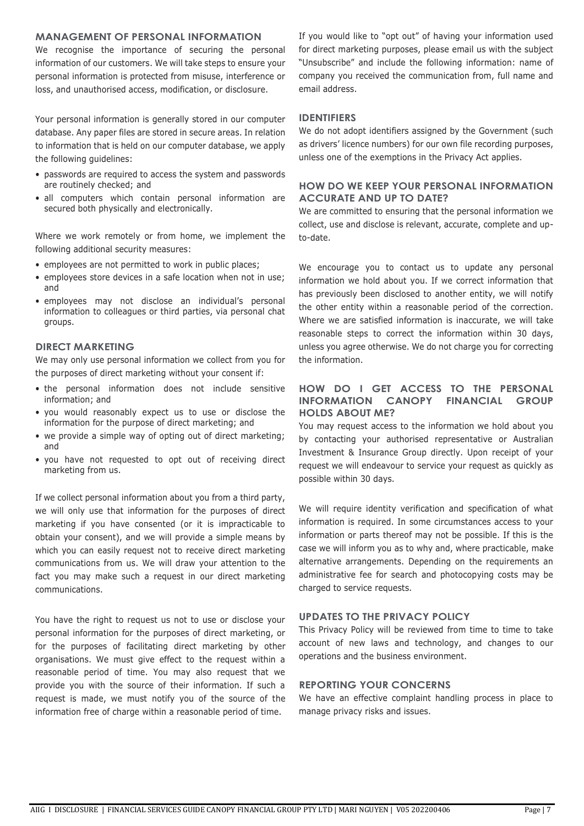## **MANAGEMENT OF PERSONAL INFORMATION**

We recognise the importance of securing the personal information of our customers. We will take steps to ensure your personal information is protected from misuse, interference or loss, and unauthorised access, modification, or disclosure.

Your personal information is generally stored in our computer database. Any paper files are stored in secure areas. In relation to information that is held on our computer database, we apply the following guidelines:

- passwords are required to access the system and passwords are routinely checked; and
- all computers which contain personal information are secured both physically and electronically.

Where we work remotely or from home, we implement the following additional security measures:

- employees are not permitted to work in public places;
- employees store devices in a safe location when not in use; and
- employees may not disclose an individual's personal information to colleagues or third parties, via personal chat groups.

### **DIRECT MARKETING**

We may only use personal information we collect from you for the purposes of direct marketing without your consent if:

- the personal information does not include sensitive information; and
- you would reasonably expect us to use or disclose the information for the purpose of direct marketing; and
- we provide a simple way of opting out of direct marketing; and
- you have not requested to opt out of receiving direct marketing from us.

If we collect personal information about you from a third party, we will only use that information for the purposes of direct marketing if you have consented (or it is impracticable to obtain your consent), and we will provide a simple means by which you can easily request not to receive direct marketing communications from us. We will draw your attention to the fact you may make such a request in our direct marketing communications.

You have the right to request us not to use or disclose your personal information for the purposes of direct marketing, or for the purposes of facilitating direct marketing by other organisations. We must give effect to the request within a reasonable period of time. You may also request that we provide you with the source of their information. If such a request is made, we must notify you of the source of the information free of charge within a reasonable period of time.

If you would like to "opt out" of having your information used for direct marketing purposes, please email us with the subject "Unsubscribe" and include the following information: name of company you received the communication from, full name and email address.

#### **IDENTIFIERS**

We do not adopt identifiers assigned by the Government (such as drivers' licence numbers) for our own file recording purposes, unless one of the exemptions in the Privacy Act applies.

### **HOW DO WE KEEP YOUR PERSONAL INFORMATION ACCURATE AND UP TO DATE?**

We are committed to ensuring that the personal information we collect, use and disclose is relevant, accurate, complete and upto-date.

We encourage you to contact us to update any personal information we hold about you. If we correct information that has previously been disclosed to another entity, we will notify the other entity within a reasonable period of the correction. Where we are satisfied information is inaccurate, we will take reasonable steps to correct the information within 30 days, unless you agree otherwise. We do not charge you for correcting the information.

### **HOW DO I GET ACCESS TO THE PERSONAL INFORMATION CANOPY FINANCIAL GROUP HOLDS ABOUT ME?**

You may request access to the information we hold about you by contacting your authorised representative or Australian Investment & Insurance Group directly. Upon receipt of your request we will endeavour to service your request as quickly as possible within 30 days.

We will require identity verification and specification of what information is required. In some circumstances access to your information or parts thereof may not be possible. If this is the case we will inform you as to why and, where practicable, make alternative arrangements. Depending on the requirements an administrative fee for search and photocopying costs may be charged to service requests.

### **UPDATES TO THE PRIVACY POLICY**

This Privacy Policy will be reviewed from time to time to take account of new laws and technology, and changes to our operations and the business environment.

### **REPORTING YOUR CONCERNS**

We have an effective complaint handling process in place to manage privacy risks and issues.